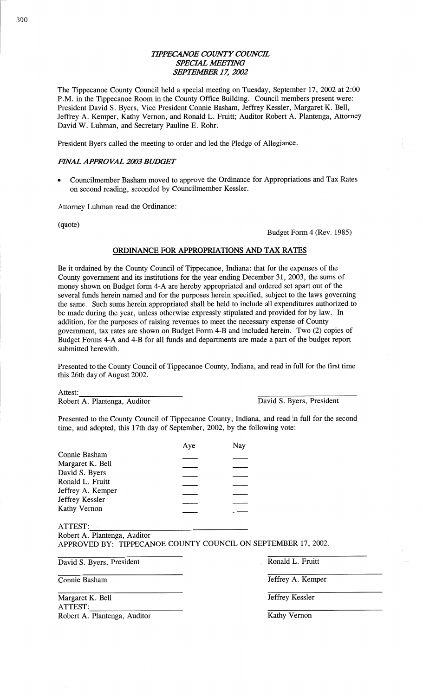## **TIPPECANOE COUNTY COUNCIL** *SPECIAL WETHVG*  **SEPTEMBER 17, 2002**

The Tippecanoe County Council held a special meeting on Tuesday, September 17, 2002 at 2:00 P.M. in the Tippecanoe Room in the County Office Building. Council members present were: President David S. Byers, Vice President Connie **Basham,** Jeffrey Kessler, Margaret K. Bell, Jeffrey A. Kemper, Kathy Vernon, and Ronald L. Pruitt; **Auditor** Robert A. Plantenga, Attorney **David** W. Luhman, and Secretary Pauline E. Rohr.

President Byers called the meeting to order and led the Pledge of Allegiance.

## *FHVAL APPROVAL 2003 BUDGET*

**o** Councilmember Basham moved to approve the Ordinance for Appropriations and Tax Rates on second reading, seconded by Councilmember Kessler.

Attorney Luhman read the Ordinance:

(quote)

Budget Form 4 (Rev. 1985)

## **ORDINANCE** FOR **APPROPRIATIONS** AND TAX **RATES**

Be it ordained by the County Council of Tippecanoe, Indiana: that for the expenses of the County government and its institutions for the year ending December 31, 2003, the sums of money shown on Budget form 4-A are hereby appropriated and ordered set apart out of the several funds herein **named** and for the purposes herein specified, subject to the laws governing the same. Such sums herein appropriated shall be held to include all **expenditures authorized** to be made during the year, unless otherwise expressly stipulated and provided for by law. In addition, for the purposes of raising revenues to **meet** the necessary expense of County government, tax rates are shown on Budget Form 4—B and included herein. Two (2) copies of Budget Forms 4—A and 4—B for all funds and departments are made a part of the budget report submitted herewith.

Presented to the County Council of Tippecanoe County, Indiana, and read in full for the first time this 26th day of **August** 2002.

Attest:

Robert A. Plantenga, Auditor David S. Byers, President

Presented to the County Council of Tippecanoe County, **Indiana,** and read in **full** for the second time, and adopted, **this** 17th day of September, 2002, by the following vote:

|                   | Aye | Nay |
|-------------------|-----|-----|
| Connie Basham     |     |     |
| Margaret K. Bell  |     |     |
| David S. Byers    |     |     |
| Ronald L. Fruitt  |     |     |
| Jeffrey A. Kemper |     |     |
| Jeffrey Kessler   |     |     |
| Kathy Vernon      |     |     |
|                   |     |     |

ATTEST: Robert A. Plantenga, Auditor APPROVED BY: TIPPECANOE COUNTY **COUNCIL** ON SEPTEMBER 17 , 2002.

David S. Byers, President **in a Ronald L. Fruitt** Ronald L. Fruitt

Connie **Basham** Jeffrey A. Kemper

Margaret K. Bell **Jeffrey Kessler ATTEST:**  Robert A. Plantenga, Auditor Kathy Vernon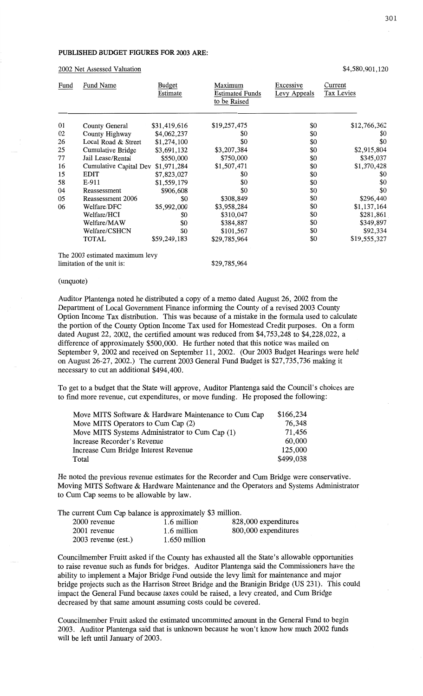### **PUBLISHED BUDGET FIGURES** FOR **2003 ARE:**

2002 Net **Assessed** Valuation \$4,580,901,120

| Fund | Fund Name                       | Budget<br>Estimate | Maximum<br><b>Estimated Funds</b><br>to be Raised | Excessive<br>Levy Appeals | Current<br>Tax Levies |
|------|---------------------------------|--------------------|---------------------------------------------------|---------------------------|-----------------------|
| 01   | County General                  | \$31,419,616       | \$19,257,475                                      | \$0                       | \$12,766,362          |
| 02   | County Highway                  | \$4,062,237        | \$0                                               | \$0                       | \$0                   |
| 26   | Local Road & Street             | \$1,274,100        | \$0                                               | \$0                       | \$0                   |
| 25   | Cumulative Bridge               | \$3,691,132        | \$3,207,384                                       | \$0                       | \$2,915,804           |
| 77   | Jail Lease/Rental               | \$550,000          | \$750,000                                         | \$0                       | \$345,037             |
| 16   | Cumulative Capital Dev          | \$1,971,284        | \$1,507,471                                       | \$0                       | \$1,370,428           |
| 15   | <b>EDIT</b>                     | \$7,823,027        | \$0                                               | \$0                       | \$0                   |
| 58   | E-911                           | \$1,559,179        | \$0                                               | \$0                       | \$0                   |
| 04   | Reassessment                    | \$906,608          | \$0                                               | \$0                       | \$0                   |
| 05   | Reassessment 2006               | \$0                | \$308,849                                         | \$0                       | \$296,440             |
| 06   | Welfare/DFC                     | \$5,992,000        | \$3,958,284                                       | \$0                       | \$1,137,164           |
|      | Welfare/HCI                     | \$0                | \$310,047                                         | \$0                       | \$281,861             |
|      | Welfare/MAW                     | \$0                | \$384,887                                         | \$0                       | \$349,897             |
|      | Welfare/CSHCN                   | \$0                | \$101,567                                         | \$0                       | \$92,334              |
|      | TOTAL                           | \$59,249,183       | \$29,785,964                                      | \$0                       | \$19,555,327          |
|      | The 2003 estimated maximum levy |                    |                                                   |                           |                       |
|      | limitation of the unit is:      |                    | \$29,785,964                                      |                           |                       |

#### (unquote)

**Auditor** Plantenga noted he distributed a copy of a **memo dated** August 26, 2002 from the **Department** of Local Government Finance informing the County of a revised 2003 County Option Income Tax distribution. **This** was because of **a mistake** in the formula used to calculate the portion of the County Option Income Tax used for Homestead Credit **purposes.** On a form dated August 22, 2002, the certified **amount** was reduced from \$4,753,248 to \$4,228,022, a difference of approximately \$500,000. He further noted that this notice was mailed on September 9, 2002 and received on September 11, 2002. (Our 2003 Budget Hearings were held on **August 26-27,** 2002.) The current 2003 General Fund **Budget** is \$27,735,736 **making** it necessary to cut an additional \$494,400.

To get to **a** budget **that** the State will **approve,** Auditor Plantenga **said** the Council's choices are to find more revenue, cut expenditures, or **move funding.** He **proposed** the following:

| Move MITS Software & Hardware Maintenance to Cum Cap | \$166,234 |
|------------------------------------------------------|-----------|
| Move MITS Operators to Cum Cap (2)                   | 76,348    |
| Move MITS Systems Administrator to Cum Cap (1)       | 71,456    |
| Increase Recorder's Revenue                          | 60,000    |
| Increase Cum Bridge Interest Revenue                 | 125,000   |
| Total                                                | \$499,038 |

He noted the previous revenue estimates for the Recorder and Cum Bridge were conservative. Moving **MITS** Software & Hardware **Maintenance** and the Operators and Systems Administrator to Cum Cap **seems** to be allowable by law.

The current Cum Cap balance is approximately \$3 **million.** 

| 1.6 million   | 828,000 expenditures |
|---------------|----------------------|
| 1.6 million   | 800,000 expenditures |
| 1.650 million |                      |
|               |                      |

**Councilmember** Fruitt asked if the County has **exhausted** all the State's allowable opportunities to raise revenue such as fimds for bridges. Auditor Plantenga said the **Commissioners** have the ability to implement **a** Major Bridge **Fund** outside the levy limit for **maintenance** and major bridge projects such as the Harrison Street Bridge and the Branigin Bridge (US 231). **This** could impact the General Fund because taxes could be raised, **a** levy created, and Cum Bridge decreased by that same **amount** assuming costs could be **covered.** 

Councilmember Fruitt asked the estimated uncommitted amount in the General Fund to **begin**  2003. Auditor Plantenga **said that** is **unknown** because he **won't** know how **much** 2002 **funds**  will be left until January of 2003.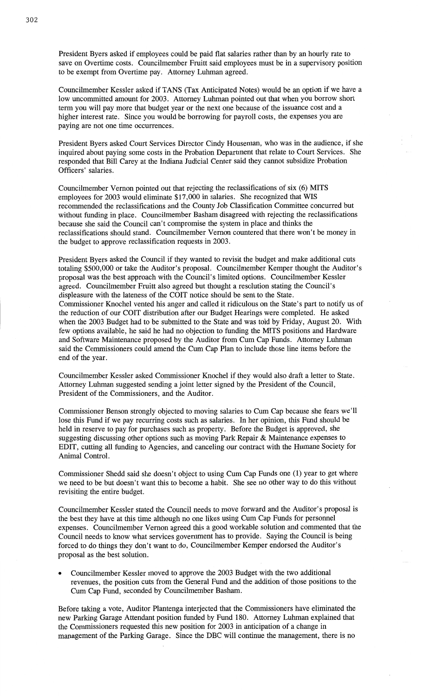President Byers asked if employees could be paid flat salaries rather **than** by an hourly rate to save on Overtime costs. Councilmember Fruitt said employees **must** be in a supervisory **position**  to be exempt from Overtime pay. Attorney Luhman agreed.

Councilmember Kessler asked if TANS (Tax Anticipated Notes) would be an option if we have a low uncommitted **amount** for 2003. Attorney **Luhman** pointed out **that** when you borrow short term you will pay more **that** budget year or the next one because of the **issuance** cost and **a**  higher interest rate. Since you would be borrowing for payroll **costs,** the **expenses** you are paying are not one time **occurrences.** 

President Byers asked Court Services Director Cindy **Houseman,** who was in the audience, if she inquired about **paying some** costs in the **Probation** Department **that** relate to **Court** Services. She responded that Bill Carey at the **Indiana** Judicial Center said they cannot subsidize Probation Officers' salaries.

Councilmember Vernon **pointed** out that rejecting the reclassifications of six (6) **MITS**  employees for 2003 would eliminate \$17,000 in **salaries.** She recognized **that** WIS recommended the reclassifications and the County Job Classification Committee concurred but without **funding** in **place.** Councilmember Basham disagreed with rejecting the reclassifications because she said the Council can't compromise the system in place and **thinks** the reclassifications **should stand.** Councilmember **Vernon** countered **that** there won't be money in the budget to **approve** reclassification **requests** in 2003.

President Byers asked the Council if they wanted to revisit the budget and make additional cuts totaling \$500,000 or take the Auditor's proposal. Councilmember Kemper thought the Auditor's proposal was the best **approach** with the Council's **limited** options. Councilmember Kessler **agreed.** Councilmember Fruitt **also** agreed but thought a resolution stating the Council's displeasure with the lateness of the COIT notice should be sent to the State. **Commissioner** Knochel **vented** his anger and called it ridiculous on the **State's part** to notify us of the reduction of our COIT distribution after our Budget Hearings were completed. He asked when the 2003 Budget had to be submitted to the State and was told by Friday, August 20. With few options available, he **said** he had no objection to funding the **MITS** positions and Hardware and Software Maintenance proposed by the Auditor from Cum Cap Funds. Attorney **Luhman**  said the Commissioners **could** amend the Cum Cap Plan to include those line items before the end of the year.

Councilmember Kessler asked Commissioner Knochel if **they** would **also** draft **a** letter to **State.**  Attorney Luhman suggested sending **a joint** letter signed by the President of the **Council,**  President of the **Commissioners,** and the **Auditor.** 

**Commissioner Benson** strongly objected to moving **salaries** to Cum Cap because she fears we'll **lose this** Fund if we pay recurring costs **such** as salaries. In her opinion, this Fund should be held in reserve to pay for purchases such as property. Before the Budget is approved, she suggesting discussing other **options** such as moving **Park** Repair & Maintenance **expenses** to EDIT, cutting all **funding** to Agencies, and canceling our contract with the **Humane Society** for **Animal** Control.

Commissioner Shedd said she doesn't object to using Cum Cap Funds one (1) year to get where we need to be but doesn't want this to become a habit. She see no other way to do this without revisiting the entire budget.

Councilmember Kessler stated the Council needs to move forward and the **Auditor's** proposal is the best they have at this time although no one likes using Cum Cap Funds for personne<sup>l</sup> expenses. Councilmember Vernon agreed this a good workable solution and commented that the Council needs to know what services government has to **provide.** Saying the Council is being **forced** to do things they don't want to do, **Councilmember** Kemper endorsed the Auditor's **proposal** as the best **solution.** 

**0** Councilmember Kessler moved to approve the 2003 Budget with the two additional revenues, the **position** cuts **from** the General Fund and the **addition** of **those positions** to the Cum Cap **Fund,** seconded by **Councilmember Basham.** 

**Before** taking a vote, Auditor Plantenga interjected **that** the **Commissioners** have **eliminated** the new Parking Garage **Attendant position funded** by Fund 180. Attorney **Luhman explained** that the **Commissioners** requested **this** new **position** for 2003 in anticipation of a change in management of the Parking Garage. Since the DEC will **continue** the management, there is no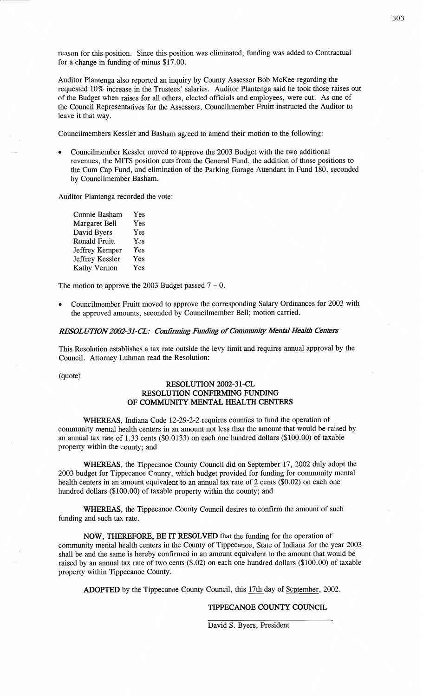**reason** for **this position.** Since **this position** was eliminated, **funding** was **added** to Contractual for a change in funding of **minus** \$17.00.

Auditor Plantenga also reported an inquiry by County **Assessor** Bob McKee regarding the requested 10% increase in the Trustees' salaries. **Auditor Plantenga** said he took those raises out of the Budget **when** raises for all others, elected officials and employees, were **cut.** As one of the Council Representatives for the **Assessors,** Councilmember Fruitt instructed the Auditor to leave it that way.

**Councilmembers** Kessler and **Basham** agreed to **amend their motion** to the following:

Councilmember Kessler moved to approve the 2003 Budget with the two additional revenues, the **MITS** position cuts from the General **Fund,** the addition of those **positions** to the Cum Cap Fund, and **elimination** of the Parking Garage Attendant in **Fund** 180, seconded by Councilmember **Basham.** 

Auditor Plantenga recorded the vote:

Connie **Basham** Yes Margaret Bell Yes David Byers Yes Ronald Fruitt Yes Jeffrey Kemper Yes Jeffrey Kessler Yes Kathy Vernon Yes

The motion to approve the 2003 Budget **passed** 7 — O.

**o** Councilmember Fruitt moved to approve the **corresponding Salary Ordinances** for 2003 with the approved **amounts,** seconded by Councilmember **Bell;** motion carried.

### *RESOL UTION2002-31-C'L: Confizming Funding* of *Community Mental Health* Centers

**This** Resolution establishes a tax rate outside the levy **limit** and requires annual approval by the Council. Attorney **Luhman** read the Resolution:

(quote)

## **RESOLUTION 2002-31-CL RESOLUTION CONFIRMING FUNDING** OF **COMMUNITY MENTAL HEALTH CENTERS**

**WHEREAS, Indiana Code 12-29-2-2** requires counties to fund the **operation** of community mental health centers in an **amount** not less than the **amount that** would be raised by an annual tax rate of 1.33 cents (\$0.0133) on each one hundred dollars (\$100.00) of taxable property **within** the **county;** and

**WHEREAS,** the **Tippecanoe** County Council did on **September** 17, 2002 **duly** adopt the <sup>2003</sup>budget for Tippecanoe County, which budget provided for funding for **community mental**  health centers in an amount equivalent to an annual tax rate of 2 cents (\$0.02) on each one hundred dollars (\$100.00) of taxable property within the county; and

**WHEREAS,** the Tippecanoe County Council desires to confirm the amount of such **funding** and such tax rate.

**NOW, THEREFORE,** BE IT **RESOLVED** that the fimding for the **operation** of community mental **health** centers in the County of **Tippecanoe,** State of **Indiana** for the year <sup>2003</sup> **shall** be and the same is hereby confirmed in an amount equivalent to the amount **that** would be raised by an **annual** tax rate of two cents (\$.02) on each one hundred **dollars** (\$100.00) of taxable property within Tippecanoe County.

**ADOPTED** by the Tippecanoe County **Council, this** 17th day of September, 2002.

### **TIPPECANOE COUNTY COUNCIL**

David S. Byers, President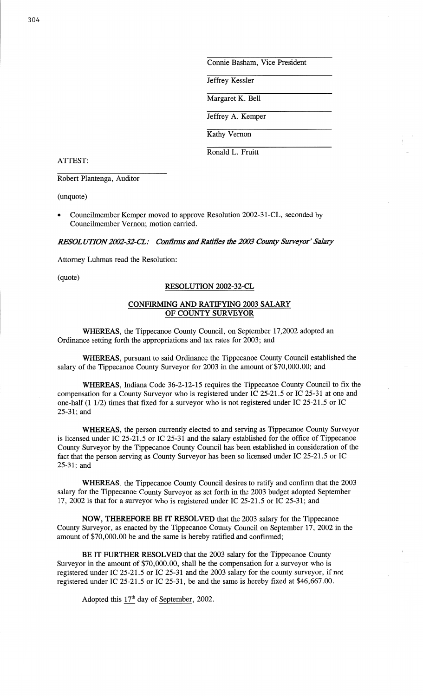Connie Basham, **Vice** President

Jeffrey Kessler

Margaret K. Bell

Jeffrey A. Kemper

Kathy Vernon

Ronald L. Fruitt

ATTEST:

Robert Plantenga, Auditor

(unquote)

**o** Councilmember Kemper moved to approve Resolution 2002—31—CL, seconded by Councilmember Vernon; motion carried.

*RESOLUTION 2002-32-CL:* Confirms and *Ratifies the 2003 County Surveyor' Salary* 

Attorney Luhman read the Resolution:

# (quote) **RESOLUTION 2002-32-CL**

## CONFIRMING AND **RATIFYING** 2003 **SALARY**  OF **COUNTY SURVEYOR**

**WHEREAS,** the Tippecanoe County Council, on September 17,2002 adopted an Ordinance setting forth the appropriations and tax rates for 2003; and '

**WHEREAS,** pursuant to said Ordinance the Tippecanoe County Council established the salary of the Tippecanoe County Surveyor for 2003 in the amount of \$70,000.00; and

**WHEREAS, Indiana** Code 36-2-12-15 requires the Tippecanoe County Council to fix the compensation for **a** County Surveyor who is registered under IC 25-215 or IC **25-31** at one and one—half (1 1/2) times that **fixed** for **a** surveyor who is not registered under IC 25-215 or IC 25-31; and

WHEREAS, the person currently elected to and serving as **Tippecanoe** County Surveyor is licensed under IC 25-21.5 or IC 25-31 and the salary established for the office of Tippecanoe County Surveyor by the Tippecanoe County Council has been established in consideration of the fact that the person serving as **County** Surveyor has been so licensed under IC 25-215 or IC 25—31; and

**WHEREAS,** the Tippecanoe County Council desires to ratify and confirm that the <sup>2003</sup> salary for the Tippecanoe County Surveyor as set forth in the 2003 budget adopted September 17, 2002 is that for a surveyor who is registered under IC 25-215 or IC 25—31; and

**NOW, THEREFORE** BE IT **RESOLVED** that the 2003 salary for the Tippecanoe County Surveyor, as enacted by the Tippecanoe County Council on September 17, 2002 in the amount of \$70,000.00 be and the same is hereby ratified and **confirmed;** 

BE IT **FURTHER RESOLVED** that the 2003 salary for the Tippecanoe County Surveyor in the amount of \$70,000.00, shall be the compensation for a surveyor who is registered under IC 25-21.5 or IC 25-31 and the 2003 salary for the county surveyor, if not registered under IC 25-215 or IC 25-31, be and the **same** is hereby **fixed** at \$46,667.00.

Adopted this  $17<sup>th</sup>$  day of September, 2002.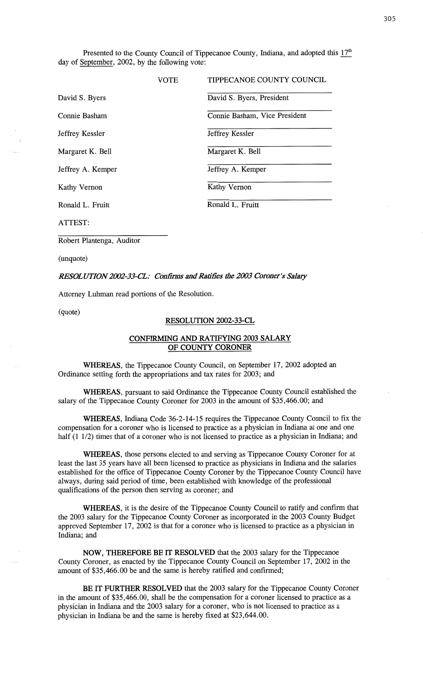Presented to the County Council of Tippecanoe County, Indiana, and adopted this  $17<sup>th</sup>$ day of September, 2002, by the following vote:

|                   | VOTE | TIPPECANOE COUNTY COUNCIL     |
|-------------------|------|-------------------------------|
| David S. Byers    |      | David S. Byers, President     |
| Connie Basham     |      | Connie Basham, Vice President |
| Jeffrey Kessler   |      | Jeffrey Kessler               |
| Margaret K. Bell  |      | Margaret K. Bell              |
| Jeffrey A. Kemper |      | Jeffrey A. Kemper             |
| Kathy Vernon      |      | Kathy Vernon                  |
| Ronald L. Fruitt  |      | Ronald L. Fruitt              |
| ATTEST:           |      |                               |

Robert **Plantenga,** Auditor

(unquote)

### *RES'OL UT10N2002-33-CL: Confimzs* and *Rafifies* the *2003 Coroner's Salazy*

Attorney Luhman read portions of the Resolution.

(quote)

### **RESOLUTION 2002-33—CL**

## **CONFIRMING** AND **RATIFYING** 2003 **SALARY**  OF COUNTY **CORONER**

**WHEREAS,** the Tippecanoe County Council, on September 17, 2002 adopted an Ordinance setting forth the appropriations and tax rates for 2003; and

**WHEREAS,** pursuant to **said** Ordinance the **Tippecanoe** County Council established the salary of the **Tippecanoe** County **Coroner** for 2003 in the **amount** of \$35,466.00; and

**WHEREAS,** Indiana Code 36-2—14—15 requires the **Tippecanoe** County **Council** to fix the compensation for a coroner who is licensed to practice as a physician in Indiana at one and one half (1 1/2) times that of a coroner who is not licensed to practice as a physician in Indiana; and

**WHEREAS,** those persons elected to and serving as Tippecanoe County Coroner for at least the last 35 years have all been licensed to practice as **physicians** in Indiana and the salaries established for the office of Tippecanoe County Coroner by the Tippecanoe **County Council** have always, during said period of time, been established with knowledge of the professional qualifications of the person then serving as coroner; and

WHEREAS, it is the desire of the Tippecanoe County Council to ratify and **confirm** that the 2003 salary for the **Tippecanoe** County Coroner as incorporated in the 2003 County Budget approved September 17 **,** 2002 is **that** for **a** coroner who is licensed to practice as a physician in **Indiana;** and

**NOW, THEREFORE** BE IT **RESOLVED** that the 2003 salary for the **Tippecanoe**  County Coroner, as enacted by the Tippecanoe County Council on September 17 , 2002 in the amount of \$35,466.00 be and the **same** is hereby ratified and **confirmed;** 

BE IT FURTHER **RESOLVED that** the 2003 salary for the **Tippecanoe** County **Coroner**  in the **amount** of \$35,466.00, shall be the **compensation** for **a** coroner licensed to practice as **a**  physician in **Indiana** and the 2003 salary for a coroner, who is not licensed to practice as a physician in **Indiana** be and the same is hereby fixed at \$23,644.00.